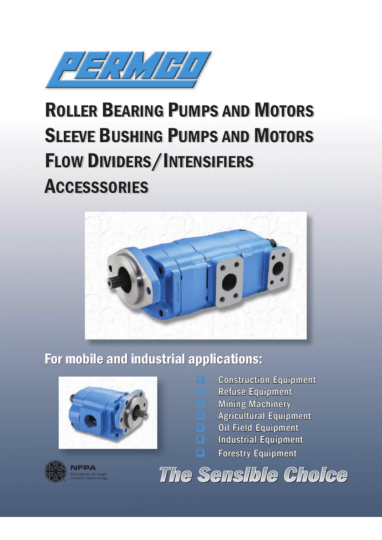

# ROLLER BEARING PUMPS AND MOTORS ROLLER BEARING PUMPS AND MOTORS ROLLER BEARING PUMPS AND MOTORS<br>SLEEVE BUSHING PUMPS AND MOTORS FLOW DIVIDERS/INTENSIFIERS **ACCESSSORIES**



## For mobile and industrial applications:



- Construction Equipment
- **Refuse Equipment**
- **Mining Machinery**<br>**D. Agricultural Fouing** 
	- Agricultural Equipment
- **Q** Oil Field Equipment
- $\Box$  Industrial Equipment
- **Q** Forestry Equipment



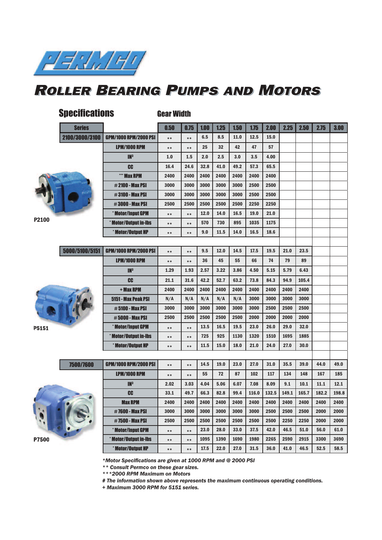

#### ROLLER BEARING PUMPS AND MOTORS

| <b>Specifications</b> | <b>Gear Width</b> |                              |       |       |      |      |      |       |       |       |       |       |       |
|-----------------------|-------------------|------------------------------|-------|-------|------|------|------|-------|-------|-------|-------|-------|-------|
|                       | <b>Series</b>     |                              | 0.50  | 0.75  | 1.00 | 1.25 | 1.50 | 1.75  | 2.00  | 2.25  | 2.50  | 2.75  | 3.00  |
|                       | 2100/3000/3100    | <b>GPM/1000 RPM/2000 PSI</b> | $***$ | $***$ | 6.5  | 8.5  | 11.0 | 12.5  | 15.0  |       |       |       |       |
|                       |                   | <b>LPM/1000 RPM</b>          | $***$ | $***$ | 25   | 32   | 42   | 47    | 57    |       |       |       |       |
|                       |                   | IN <sup>3</sup>              | 1.0   | 1.5   | 2.0  | 2.5  | 3.0  | 3.5   | 4.00  |       |       |       |       |
|                       |                   | CC                           | 16.4  | 24.6  | 32.8 | 41.0 | 49.2 | 57.3  | 65.5  |       |       |       |       |
|                       |                   | *** Max RPM                  | 2400  | 2400  | 2400 | 2400 | 2400 | 2400  | 2400  |       |       |       |       |
|                       |                   | <b>#2100 - Max PSI</b>       | 3000  | 3000  | 3000 | 3000 | 3000 | 2500  | 2500  |       |       |       |       |
|                       |                   | #3100 - Max PSI              | 3000  | 3000  | 3000 | 3000 | 3000 | 2500  | 2500  |       |       |       |       |
|                       |                   | <b>#3000 - Max PSI</b>       | 2500  | 2500  | 2500 | 2500 | 2500 | 2250  | 2250  |       |       |       |       |
|                       |                   | * Motor/Input GPM            | $***$ | $***$ | 12.0 | 14.0 | 16.5 | 19.0  | 21.0  |       |       |       |       |
| P2100                 |                   | * Motor/Output in-Ibs        | **    | $***$ | 570  | 730  | 895  | 1035  | 1175  |       |       |       |       |
|                       |                   | * Motor/Output HP            | $***$ | $***$ | 9.0  | 11.5 | 14.0 | 16.5  | 18.6  |       |       |       |       |
|                       |                   |                              |       |       |      |      |      |       |       |       |       |       |       |
|                       | 5000/5100/5151    | <b>GPM/1000 RPM/2000 PSI</b> | $***$ | $***$ | 9.5  | 12.0 | 14.5 | 17.5  | 19.5  | 21.0  | 23.5  |       |       |
|                       |                   | <b>LPM/1000 RPM</b>          | $***$ | $***$ | 36   | 45   | 55   | 66    | 74    | 79    | 89    |       |       |
|                       |                   | IN <sup>3</sup>              | 1.29  | 1.93  | 2.57 | 3.22 | 3.86 | 4.50  | 5.15  | 5.79  | 6.43  |       |       |
|                       |                   | <b>CC</b>                    | 21.1  | 31.6  | 42.2 | 52.7 | 63.2 | 73.8  | 84.3  | 94.9  | 105.4 |       |       |
|                       |                   | + Max RPM                    | 2400  | 2400  | 2400 | 2400 | 2400 | 2400  | 2400  | 2400  | 2400  |       |       |
|                       |                   | 5151 - Max Peak PSI          | N/A   | N/A   | N/A  | N/A  | N/A  | 3000  | 3000  | 3000  | 3000  |       |       |
|                       |                   | #5100 - Max PSI              | 3000  | 3000  | 3000 | 3000 | 3000 | 3000  | 2500  | 2500  | 2500  |       |       |
|                       |                   | <b>#5000 - Max PSI</b>       | 2500  | 2500  | 2500 | 2500 | 2500 | 2000  | 2000  | 2000  | 2000  |       |       |
| P5151                 |                   | * Motor/Input GPM            | $***$ | $***$ | 13.5 | 16.5 | 19.5 | 23.0  | 26.0  | 29.0  | 32.0  |       |       |
|                       |                   | Motor/Output in-Ibs          | **    | $***$ | 725  | 925  | 1130 | 1320  | 1510  | 1695  | 1885  |       |       |
|                       |                   | * Motor/Output HP            | $***$ | $***$ | 11.5 | 15.0 | 18.0 | 21.0  | 24.0  | 27.0  | 30.0  |       |       |
|                       |                   |                              |       |       |      |      |      |       |       |       |       |       |       |
|                       | 7500/7600         | <b>GPM/1000 RPM/2000 PSI</b> | $***$ | $***$ | 14.5 | 19.0 | 23.0 | 27.0  | 31.0  | 35.5  | 39.0  | 44.0  | 49.0  |
|                       |                   | <b>LPM/1000 RPM</b>          | **    | $***$ | 55   | 72   | 87   | 102   | 117   | 134   | 148   | 167   | 185   |
|                       |                   | IN <sup>3</sup>              | 2.02  | 3.03  | 4.04 | 5.06 | 6.07 | 7.08  | 8.09  | 9.1   | 10.1  | 11.1  | 12.1  |
|                       |                   | CC                           | 33.1  | 49.7  | 66.3 | 82.8 | 99.4 | 116.0 | 132.5 | 149.1 | 165.7 | 182.2 | 198.8 |
|                       |                   | <b>Max RPM</b>               | 2400  | 2400  | 2400 | 2400 | 2400 | 2400  | 2400  | 2400  | 2400  | 2400  | 2400  |
|                       |                   | #7600 - Max PSI              | 3000  | 3000  | 3000 | 3000 | 3000 | 3000  | 2500  | 2500  | 2500  | 2000  | 2000  |
|                       |                   | #7500 - Max PSI              | 2500  | 2500  | 2500 | 2500 | 2500 | 2500  | 2500  | 2250  | 2250  | 2000  | 2000  |
|                       |                   | * Motor/Input GPM            | $***$ | $***$ | 23.0 | 28.0 | 33.0 | 37.5  | 42.0  | 46.5  | 51.0  | 56.0  | 61.0  |
| P7500                 |                   | * Motor/Output in-Ibs        | $***$ | $***$ | 1095 | 1390 | 1690 | 1980  | 2265  | 2590  | 2915  | 3300  | 3690  |
|                       |                   | * Motor/Output HP            | $***$ | $***$ | 17.5 | 22.0 | 27.0 | 31.5  | 36.0  | 41.0  | 46.5  | 52.5  | 58.5  |

*\*Motor Specifi cations are given at 1000 RPM and @ 2000 PSI* 

*\*\* Consult Permco on these gear sizes.*

*\*\*\*2000 RPM Maximum on Motors*

*# The information shown above represents the maximum continuous operating conditions.*

*+ Maximum 3000 RPM for 5151 series.*